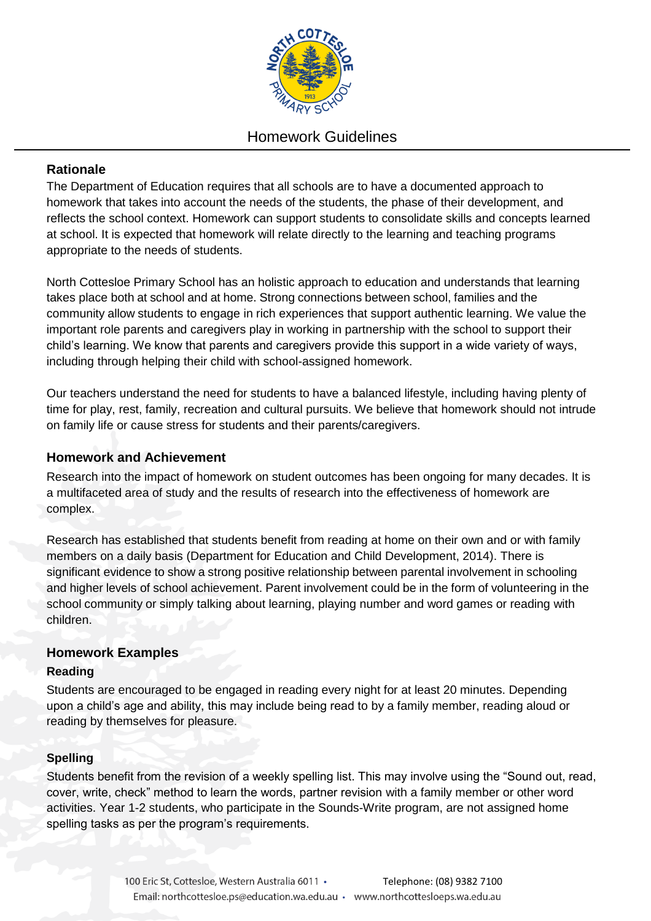

# Homework Guidelines

# **Rationale**

The Department of Education requires that all schools are to have a documented approach to homework that takes into account the needs of the students, the phase of their development, and reflects the school context. Homework can support students to consolidate skills and concepts learned at school. It is expected that homework will relate directly to the learning and teaching programs appropriate to the needs of students.

North Cottesloe Primary School has an holistic approach to education and understands that learning takes place both at school and at home. Strong connections between school, families and the community allow students to engage in rich experiences that support authentic learning. We value the important role parents and caregivers play in working in partnership with the school to support their child's learning. We know that parents and caregivers provide this support in a wide variety of ways, including through helping their child with school-assigned homework.

Our teachers understand the need for students to have a balanced lifestyle, including having plenty of time for play, rest, family, recreation and cultural pursuits. We believe that homework should not intrude on family life or cause stress for students and their parents/caregivers.

# **Homework and Achievement**

Research into the impact of homework on student outcomes has been ongoing for many decades. It is a multifaceted area of study and the results of research into the effectiveness of homework are complex.

Research has established that students benefit from reading at home on their own and or with family members on a daily basis (Department for Education and Child Development, 2014). There is significant evidence to show a strong positive relationship between parental involvement in schooling and higher levels of school achievement. Parent involvement could be in the form of volunteering in the school community or simply talking about learning, playing number and word games or reading with children.

# **Homework Examples**

# **Reading**

Students are encouraged to be engaged in reading every night for at least 20 minutes. Depending upon a child's age and ability, this may include being read to by a family member, reading aloud or reading by themselves for pleasure.

# **Spelling**

Students benefit from the revision of a weekly spelling list. This may involve using the "Sound out, read, cover, write, check" method to learn the words, partner revision with a family member or other word activities. Year 1-2 students, who participate in the Sounds-Write program, are not assigned home spelling tasks as per the program's requirements.